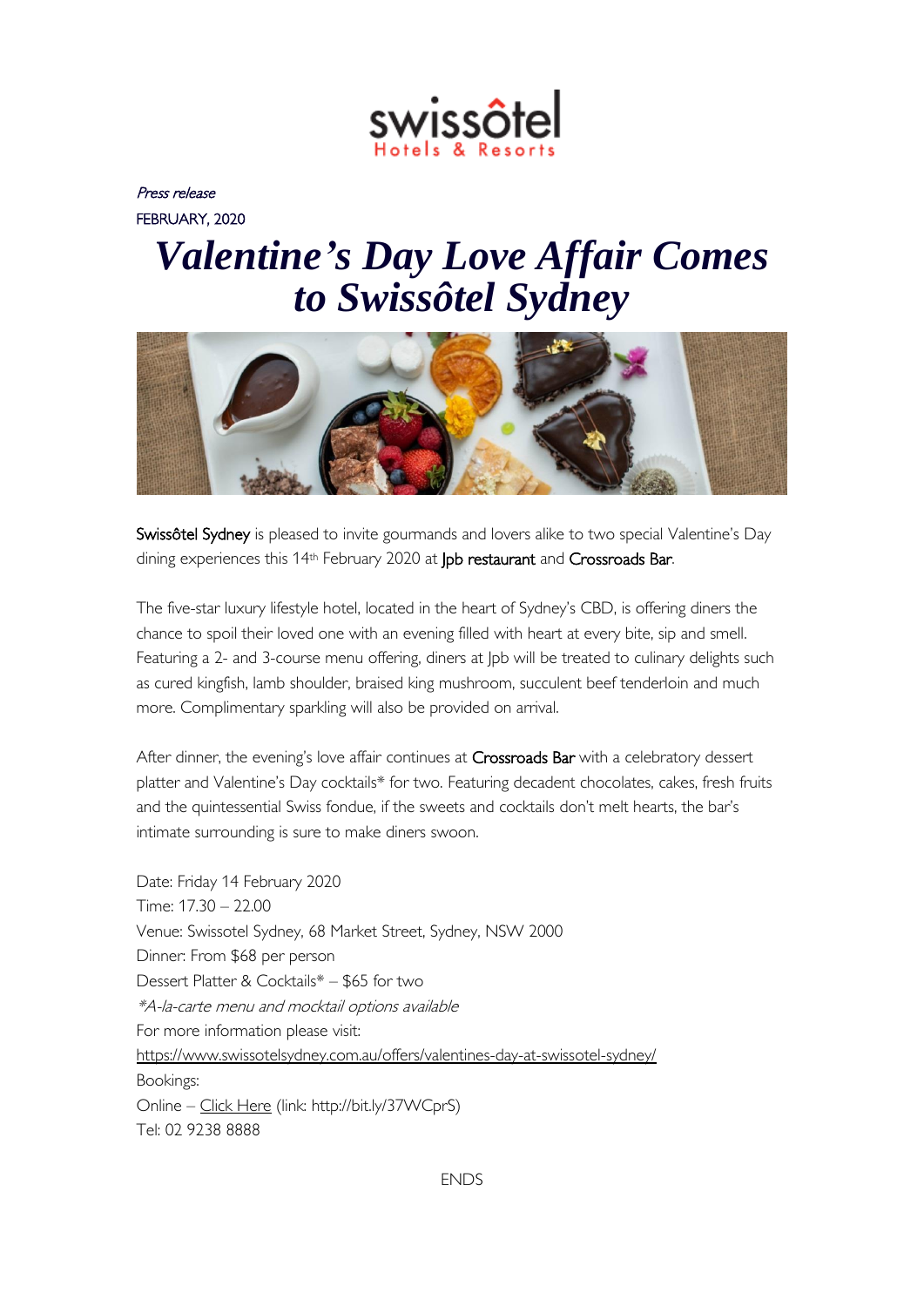

Press release FEBRUARY, 2020

## *Valentine's Day Love Affair Comes to Swissôtel Sydney*



Swissôtel Sydney is pleased to invite gourmands and lovers alike to two special Valentine's Day dining experiences this 14th February 2020 at Jpb restaurant and Crossroads Bar.

The five-star luxury lifestyle hotel, located in the heart of Sydney's CBD, is offering diners the chance to spoil their loved one with an evening filled with heart at every bite, sip and smell. Featuring a 2- and 3-course menu offering, diners at Jpb will be treated to culinary delights such as cured kingfish, lamb shoulder, braised king mushroom, succulent beef tenderloin and much more. Complimentary sparkling will also be provided on arrival.

After dinner, the evening's love affair continues at Crossroads Bar with a celebratory dessert platter and Valentine's Day cocktails\* for two. Featuring decadent chocolates, cakes, fresh fruits and the quintessential Swiss fondue, if the sweets and cocktails don't melt hearts, the bar's intimate surrounding is sure to make diners swoon.

Date: Friday 14 February 2020 Time: 17.30 – 22.00 Venue: Swissotel Sydney, 68 Market Street, Sydney, NSW 2000 Dinner: From \$68 per person Dessert Platter & Cocktails\* – \$65 for two \*A-la-carte menu and mocktail options available For more information please visit: <https://www.swissotelsydney.com.au/offers/valentines-day-at-swissotel-sydney/> Bookings: Online – [Click Here](https://booking.resdiary.com/TablePlus/Standard/JpbRestaurantAccor7873/2936?date=14-02-20&partySize=&promotionId=70200&time=17:30&utm_source=TravMedia&utm_medium=BookNow&utm_campaign=ValentinesTrav&utm_term=JpbRestaurantAccor7873) (link: http://bit.ly/37WCprS) Tel: 02 9238 8888